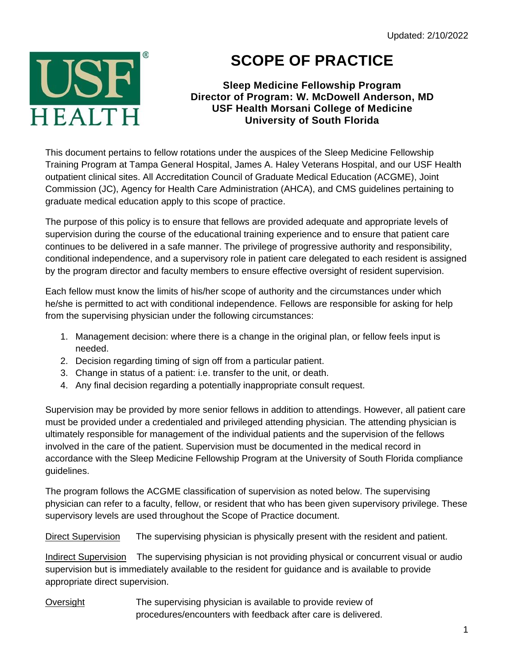

## **SCOPE OF PRACTICE**

## **Sleep Medicine Fellowship Program Director of Program: W. McDowell Anderson, MD USF Health Morsani College of Medicine University of South Florida**

This document pertains to fellow rotations under the auspices of the Sleep Medicine Fellowship Training Program at Tampa General Hospital, James A. Haley Veterans Hospital, and our USF Health outpatient clinical sites. All Accreditation Council of Graduate Medical Education (ACGME), Joint Commission (JC), Agency for Health Care Administration (AHCA), and CMS guidelines pertaining to graduate medical education apply to this scope of practice.

The purpose of this policy is to ensure that fellows are provided adequate and appropriate levels of supervision during the course of the educational training experience and to ensure that patient care continues to be delivered in a safe manner. The privilege of progressive authority and responsibility, conditional independence, and a supervisory role in patient care delegated to each resident is assigned by the program director and faculty members to ensure effective oversight of resident supervision.

Each fellow must know the limits of his/her scope of authority and the circumstances under which he/she is permitted to act with conditional independence. Fellows are responsible for asking for help from the supervising physician under the following circumstances:

- 1. Management decision: where there is a change in the original plan, or fellow feels input is needed.
- 2. Decision regarding timing of sign off from a particular patient.
- 3. Change in status of a patient: i.e. transfer to the unit, or death.
- 4. Any final decision regarding a potentially inappropriate consult request.

Supervision may be provided by more senior fellows in addition to attendings. However, all patient care must be provided under a credentialed and privileged attending physician. The attending physician is ultimately responsible for management of the individual patients and the supervision of the fellows involved in the care of the patient. Supervision must be documented in the medical record in accordance with the Sleep Medicine Fellowship Program at the University of South Florida compliance guidelines.

The program follows the ACGME classification of supervision as noted below. The supervising physician can refer to a faculty, fellow, or resident that who has been given supervisory privilege. These supervisory levels are used throughout the Scope of Practice document.

Direct Supervision The supervising physician is physically present with the resident and patient.

Indirect Supervision The supervising physician is not providing physical or concurrent visual or audio supervision but is immediately available to the resident for guidance and is available to provide appropriate direct supervision.

Oversight The supervising physician is available to provide review of procedures/encounters with feedback after care is delivered.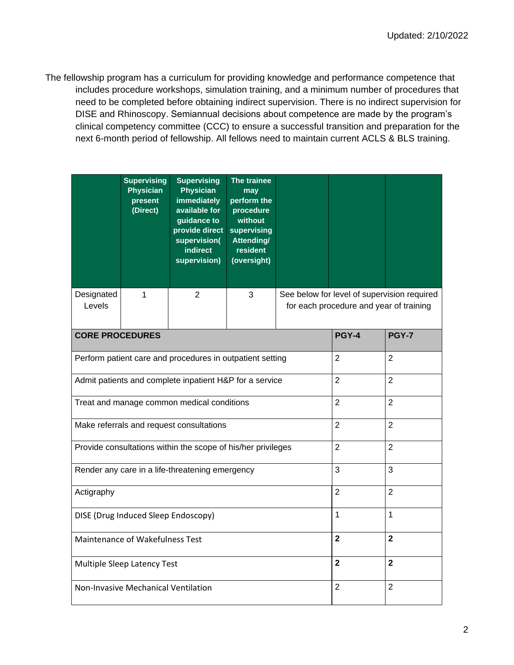The fellowship program has a curriculum for providing knowledge and performance competence that includes procedure workshops, simulation training, and a minimum number of procedures that need to be completed before obtaining indirect supervision. There is no indirect supervision for DISE and Rhinoscopy. Semiannual decisions about competence are made by the program's clinical competency committee (CCC) to ensure a successful transition and preparation for the next 6-month period of fellowship. All fellows need to maintain current ACLS & BLS training.

|                        | <b>Supervising</b><br><b>Physician</b><br>present<br>(Direct) | <b>Supervising</b><br><b>Physician</b><br>immediately<br>available for<br>guidance to<br>provide direct<br>supervision(<br>indirect<br>supervision) | The trainee<br>may<br>perform the<br>procedure<br>without<br>supervising<br>Attending/<br>resident<br>(oversight) |                                                                                        |  |  |  |
|------------------------|---------------------------------------------------------------|-----------------------------------------------------------------------------------------------------------------------------------------------------|-------------------------------------------------------------------------------------------------------------------|----------------------------------------------------------------------------------------|--|--|--|
| Designated<br>Levels   | 1                                                             | 2                                                                                                                                                   | 3                                                                                                                 | See below for level of supervision required<br>for each procedure and year of training |  |  |  |
| <b>CORE PROCEDURES</b> |                                                               | PGY-4                                                                                                                                               | <b>PGY-7</b>                                                                                                      |                                                                                        |  |  |  |
|                        | Perform patient care and procedures in outpatient setting     | $\overline{2}$                                                                                                                                      | 2                                                                                                                 |                                                                                        |  |  |  |
|                        | Admit patients and complete inpatient H&P for a service       | $\overline{2}$                                                                                                                                      | $\overline{2}$                                                                                                    |                                                                                        |  |  |  |
|                        | Treat and manage common medical conditions                    | $\overline{2}$                                                                                                                                      | $\overline{2}$                                                                                                    |                                                                                        |  |  |  |
|                        | Make referrals and request consultations                      | $\overline{2}$                                                                                                                                      | $\overline{2}$                                                                                                    |                                                                                        |  |  |  |
|                        | Provide consultations within the scope of his/her privileges  | $\overline{2}$                                                                                                                                      | $\overline{2}$                                                                                                    |                                                                                        |  |  |  |
|                        | Render any care in a life-threatening emergency               | 3                                                                                                                                                   | 3                                                                                                                 |                                                                                        |  |  |  |
| Actigraphy             |                                                               | $\overline{2}$                                                                                                                                      | $\overline{2}$                                                                                                    |                                                                                        |  |  |  |
|                        | DISE (Drug Induced Sleep Endoscopy)                           | 1                                                                                                                                                   | $\overline{1}$                                                                                                    |                                                                                        |  |  |  |
|                        | Maintenance of Wakefulness Test                               | $\overline{2}$                                                                                                                                      | $\overline{2}$                                                                                                    |                                                                                        |  |  |  |
|                        | Multiple Sleep Latency Test                                   | $\overline{2}$                                                                                                                                      | $\overline{\mathbf{2}}$                                                                                           |                                                                                        |  |  |  |
|                        | Non-Invasive Mechanical Ventilation                           | $\overline{2}$                                                                                                                                      | $\overline{2}$                                                                                                    |                                                                                        |  |  |  |
|                        |                                                               |                                                                                                                                                     |                                                                                                                   |                                                                                        |  |  |  |